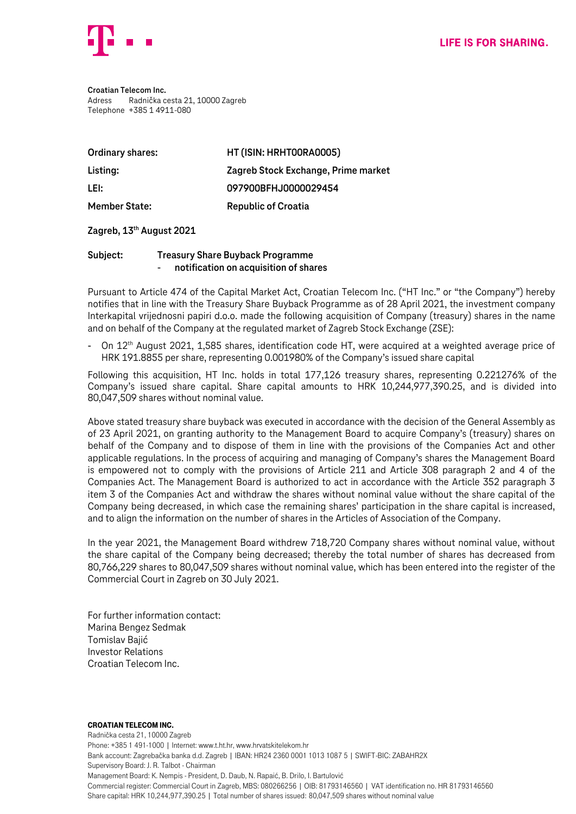

**Croatian Telecom Inc.** Adress Radnička cesta 21, 10000 Zagreb Telephone +385 1 4911-080

| Ordinary shares:     | HT (ISIN: HRHTOORAOOO5)             |
|----------------------|-------------------------------------|
| Listing:             | Zagreb Stock Exchange, Prime market |
| LEI:                 | 097900BFHJ0000029454                |
| <b>Member State:</b> | <b>Republic of Croatia</b>          |

### **Zagreb, 13 th August 2021**

## **Subject: Treasury Share Buyback Programme** - **notification on acquisition of shares**

Pursuant to Article 474 of the Capital Market Act, Croatian Telecom Inc. ("HT Inc." or "the Company") hereby notifies that in line with the Treasury Share Buyback Programme as of 28 April 2021, the investment company Interkapital vrijednosni papiri d.o.o. made the following acquisition of Company (treasury) shares in the name and on behalf of the Company at the regulated market of Zagreb Stock Exchange (ZSE):

- On 12<sup>th</sup> August 2021, 1,585 shares, identification code HT, were acquired at a weighted average price of HRK 191.8855 per share, representing 0.001980% of the Company's issued share capital

Following this acquisition, HT Inc. holds in total 177,126 treasury shares, representing 0.221276% of the Company's issued share capital. Share capital amounts to HRK 10,244,977,390.25, and is divided into 80,047,509 shares without nominal value.

Above stated treasury share buyback was executed in accordance with the decision of the General Assembly as of 23 April 2021, on granting authority to the Management Board to acquire Company's (treasury) shares on behalf of the Company and to dispose of them in line with the provisions of the Companies Act and other applicable regulations. In the process of acquiring and managing of Company's shares the Management Board is empowered not to comply with the provisions of Article 211 and Article 308 paragraph 2 and 4 of the Companies Act. The Management Board is authorized to act in accordance with the Article 352 paragraph 3 item 3 of the Companies Act and withdraw the shares without nominal value without the share capital of the Company being decreased, in which case the remaining shares' participation in the share capital is increased, and to align the information on the number of shares in the Articles of Association of the Company.

In the year 2021, the Management Board withdrew 718,720 Company shares without nominal value, without the share capital of the Company being decreased; thereby the total number of shares has decreased from 80,766,229 shares to 80,047,509 shares without nominal value, which has been entered into the register of the Commercial Court in Zagreb on 30 July 2021.

For further information contact: Marina Bengez Sedmak Tomislav Bajić Investor Relations Croatian Telecom Inc.

#### Croatian Telecom Inc.

Radnička cesta 21, 10000 Zagreb Phone: +385 1 491-1000 | Internet: www.t.ht.hr, www.hrvatskitelekom.hr Bank account: Zagrebačka banka d.d. Zagreb | IBAN: HR24 2360 0001 1013 1087 5 | SWIFT-BIC: ZABAHR2X Supervisory Board: J. R. Talbot - Chairman Management Board: K. Nempis - President, D. Daub, N. Rapaić, B. Drilo, I. Bartulović Commercial register: Commercial Court in Zagreb, MBS: 080266256 | OIB: 81793146560 | VAT identification no. HR 81793146560 Share capital: HRK 10,244,977,390.25 | Total number of shares issued: 80,047,509 shares without nominal value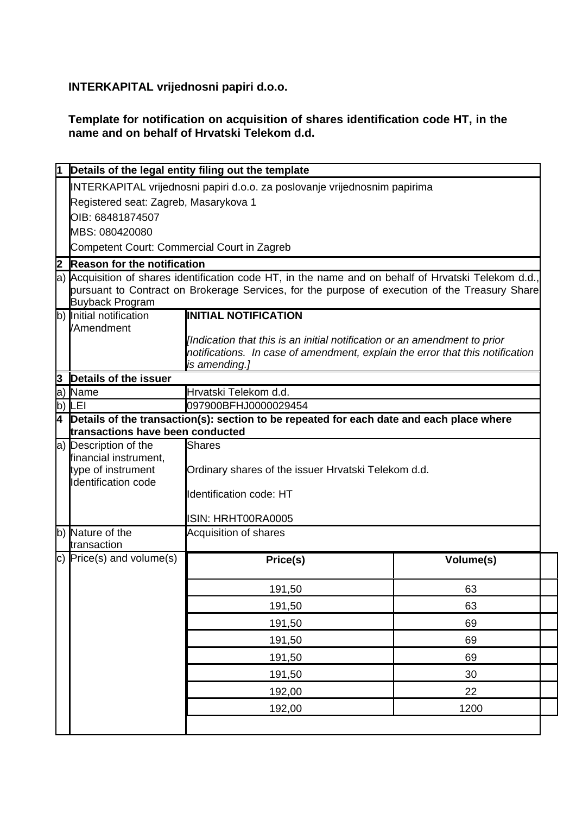# **INTERKAPITAL vrijednosni papiri d.o.o.**

# **Template for notification on acquisition of shares identification code HT, in the name and on behalf of Hrvatski Telekom d.d.**

|           |                                                                                                                          | Details of the legal entity filing out the template                                      |           |  |  |
|-----------|--------------------------------------------------------------------------------------------------------------------------|------------------------------------------------------------------------------------------|-----------|--|--|
|           | INTERKAPITAL vrijednosni papiri d.o.o. za poslovanje vrijednosnim papirima                                               |                                                                                          |           |  |  |
|           | Registered seat: Zagreb, Masarykova 1                                                                                    |                                                                                          |           |  |  |
|           | OIB: 68481874507                                                                                                         |                                                                                          |           |  |  |
|           | MBS: 080420080                                                                                                           |                                                                                          |           |  |  |
|           | Competent Court: Commercial Court in Zagreb                                                                              |                                                                                          |           |  |  |
| 2         | <b>Reason for the notification</b>                                                                                       |                                                                                          |           |  |  |
|           | a) Acquisition of shares identification code HT, in the name and on behalf of Hrvatski Telekom d.d.                      |                                                                                          |           |  |  |
|           | pursuant to Contract on Brokerage Services, for the purpose of execution of the Treasury Share<br><b>Buyback Program</b> |                                                                                          |           |  |  |
|           | b) Initial notification                                                                                                  | <b>INITIAL NOTIFICATION</b>                                                              |           |  |  |
|           | /Amendment                                                                                                               |                                                                                          |           |  |  |
|           |                                                                                                                          | [Indication that this is an initial notification or an amendment to prior                |           |  |  |
|           |                                                                                                                          | notifications. In case of amendment, explain the error that this notification            |           |  |  |
|           | Details of the issuer                                                                                                    | is amending.]                                                                            |           |  |  |
| 13<br>la) | Name                                                                                                                     | Hrvatski Telekom d.d.                                                                    |           |  |  |
| lb)       | LEI                                                                                                                      | 097900BFHJ0000029454                                                                     |           |  |  |
| 4         |                                                                                                                          | Details of the transaction(s): section to be repeated for each date and each place where |           |  |  |
|           | transactions have been conducted                                                                                         |                                                                                          |           |  |  |
|           | a) Description of the                                                                                                    | Shares                                                                                   |           |  |  |
|           | financial instrument,                                                                                                    |                                                                                          |           |  |  |
|           | type of instrument<br>Identification code                                                                                | Ordinary shares of the issuer Hrvatski Telekom d.d.                                      |           |  |  |
|           |                                                                                                                          | <b>Identification code: HT</b>                                                           |           |  |  |
|           |                                                                                                                          | ISIN: HRHT00RA0005                                                                       |           |  |  |
|           | b) Nature of the<br>transaction                                                                                          | Acquisition of shares                                                                    |           |  |  |
|           | c) $Price(s)$ and volume(s)                                                                                              | Price(s)                                                                                 | Volume(s) |  |  |
|           |                                                                                                                          |                                                                                          |           |  |  |
|           |                                                                                                                          | 191,50                                                                                   | 63        |  |  |
|           |                                                                                                                          | 191,50                                                                                   | 63        |  |  |
|           |                                                                                                                          | 191,50                                                                                   | 69        |  |  |
|           |                                                                                                                          | 191,50                                                                                   | 69        |  |  |
|           |                                                                                                                          | 191,50                                                                                   | 69        |  |  |
|           |                                                                                                                          | 191,50                                                                                   | 30        |  |  |
|           |                                                                                                                          | 192,00                                                                                   | 22        |  |  |
|           |                                                                                                                          | 192,00                                                                                   | 1200      |  |  |
|           |                                                                                                                          |                                                                                          |           |  |  |